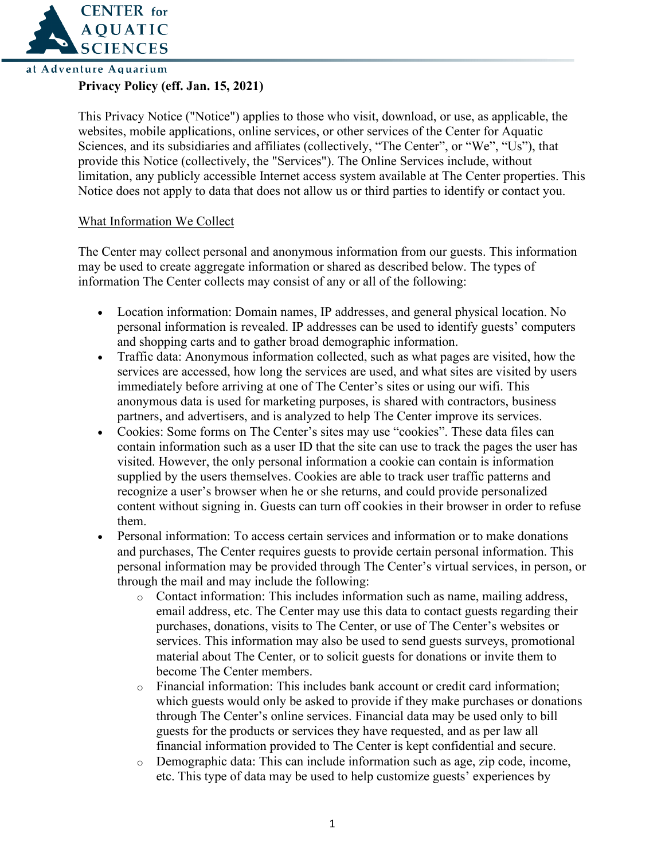

## **Privacy Policy (eff. Jan. 15, 2021)**

This Privacy Notice ("Notice") applies to those who visit, download, or use, as applicable, the websites, mobile applications, online services, or other services of the Center for Aquatic Sciences, and its subsidiaries and affiliates (collectively, "The Center", or "We", "Us"), that provide this Notice (collectively, the "Services"). The Online Services include, without limitation, any publicly accessible Internet access system available at The Center properties. This Notice does not apply to data that does not allow us or third parties to identify or contact you.

## What Information We Collect

The Center may collect personal and anonymous information from our guests. This information may be used to create aggregate information or shared as described below. The types of information The Center collects may consist of any or all of the following:

- Location information: Domain names, IP addresses, and general physical location. No personal information is revealed. IP addresses can be used to identify guests' computers and shopping carts and to gather broad demographic information.
- Traffic data: Anonymous information collected, such as what pages are visited, how the services are accessed, how long the services are used, and what sites are visited by users immediately before arriving at one of The Center's sites or using our wifi. This anonymous data is used for marketing purposes, is shared with contractors, business partners, and advertisers, and is analyzed to help The Center improve its services.
- Cookies: Some forms on The Center's sites may use "cookies". These data files can contain information such as a user ID that the site can use to track the pages the user has visited. However, the only personal information a cookie can contain is information supplied by the users themselves. Cookies are able to track user traffic patterns and recognize a user's browser when he or she returns, and could provide personalized content without signing in. Guests can turn off cookies in their browser in order to refuse them.
- Personal information: To access certain services and information or to make donations and purchases, The Center requires guests to provide certain personal information. This personal information may be provided through The Center's virtual services, in person, or through the mail and may include the following:
	- o Contact information: This includes information such as name, mailing address, email address, etc. The Center may use this data to contact guests regarding their purchases, donations, visits to The Center, or use of The Center's websites or services. This information may also be used to send guests surveys, promotional material about The Center, or to solicit guests for donations or invite them to become The Center members.
	- o Financial information: This includes bank account or credit card information; which guests would only be asked to provide if they make purchases or donations through The Center's online services. Financial data may be used only to bill guests for the products or services they have requested, and as per law all financial information provided to The Center is kept confidential and secure.
	- o Demographic data: This can include information such as age, zip code, income, etc. This type of data may be used to help customize guests' experiences by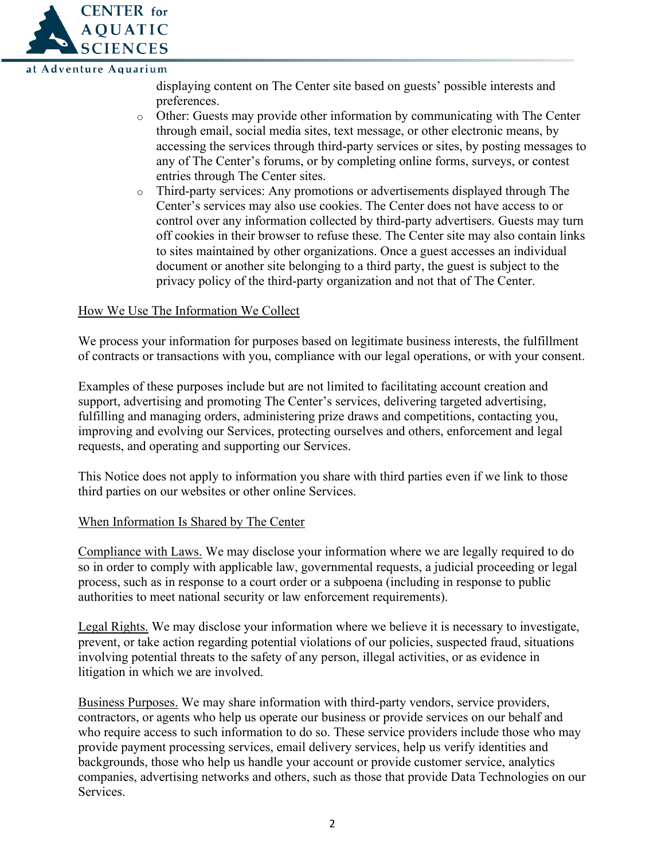

displaying content on The Center site based on guests' possible interests and preferences.

- o Other: Guests may provide other information by communicating with The Center through email, social media sites, text message, or other electronic means, by accessing the services through third-party services or sites, by posting messages to any of The Center's forums, or by completing online forms, surveys, or contest entries through The Center sites.
- o Third-party services: Any promotions or advertisements displayed through The Center's services may also use cookies. The Center does not have access to or control over any information collected by third-party advertisers. Guests may turn off cookies in their browser to refuse these. The Center site may also contain links to sites maintained by other organizations. Once a guest accesses an individual document or another site belonging to a third party, the guest is subject to the privacy policy of the third-party organization and not that of The Center.

## How We Use The Information We Collect

We process your information for purposes based on legitimate business interests, the fulfillment of contracts or transactions with you, compliance with our legal operations, or with your consent.

Examples of these purposes include but are not limited to facilitating account creation and support, advertising and promoting The Center's services, delivering targeted advertising, fulfilling and managing orders, administering prize draws and competitions, contacting you, improving and evolving our Services, protecting ourselves and others, enforcement and legal requests, and operating and supporting our Services.

This Notice does not apply to information you share with third parties even if we link to those third parties on our websites or other online Services.

## When Information Is Shared by The Center

Compliance with Laws. We may disclose your information where we are legally required to do so in order to comply with applicable law, governmental requests, a judicial proceeding or legal process, such as in response to a court order or a subpoena (including in response to public authorities to meet national security or law enforcement requirements).

Legal Rights. We may disclose your information where we believe it is necessary to investigate, prevent, or take action regarding potential violations of our policies, suspected fraud, situations involving potential threats to the safety of any person, illegal activities, or as evidence in litigation in which we are involved.

Business Purposes. We may share information with third-party vendors, service providers, contractors, or agents who help us operate our business or provide services on our behalf and who require access to such information to do so. These service providers include those who may provide payment processing services, email delivery services, help us verify identities and backgrounds, those who help us handle your account or provide customer service, analytics companies, advertising networks and others, such as those that provide Data Technologies on our Services.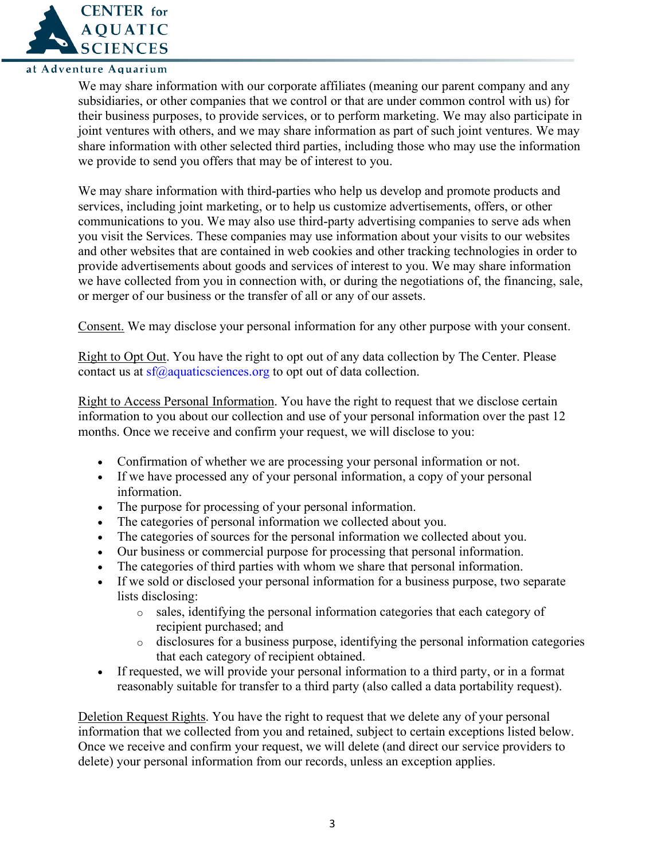

We may share information with our corporate affiliates (meaning our parent company and any subsidiaries, or other companies that we control or that are under common control with us) for their business purposes, to provide services, or to perform marketing. We may also participate in joint ventures with others, and we may share information as part of such joint ventures. We may share information with other selected third parties, including those who may use the information we provide to send you offers that may be of interest to you.

We may share information with third-parties who help us develop and promote products and services, including joint marketing, or to help us customize advertisements, offers, or other communications to you. We may also use third-party advertising companies to serve ads when you visit the Services. These companies may use information about your visits to our websites and other websites that are contained in web cookies and other tracking technologies in order to provide advertisements about goods and services of interest to you. We may share information we have collected from you in connection with, or during the negotiations of, the financing, sale, or merger of our business or the transfer of all or any of our assets.

Consent. We may disclose your personal information for any other purpose with your consent.

Right to Opt Out. You have the right to opt out of any data collection by The Center. Please contact us at  $\frac{\text{sf}(a)}{\text{a} \text{quatic} \cdot \text{c}}$  and  $\frac{\text{c} \cdot \text{c} \cdot \text{c}}{\text{c} \cdot \text{c}}$  to opt out of data collection.

Right to Access Personal Information. You have the right to request that we disclose certain information to you about our collection and use of your personal information over the past 12 months. Once we receive and confirm your request, we will disclose to you:

- Confirmation of whether we are processing your personal information or not.
- If we have processed any of your personal information, a copy of your personal information.
- The purpose for processing of your personal information.
- The categories of personal information we collected about you.
- The categories of sources for the personal information we collected about you.
- Our business or commercial purpose for processing that personal information.
- The categories of third parties with whom we share that personal information.
- If we sold or disclosed your personal information for a business purpose, two separate lists disclosing:
	- o sales, identifying the personal information categories that each category of recipient purchased; and
	- o disclosures for a business purpose, identifying the personal information categories that each category of recipient obtained.
- If requested, we will provide your personal information to a third party, or in a format reasonably suitable for transfer to a third party (also called a data portability request).

Deletion Request Rights. You have the right to request that we delete any of your personal information that we collected from you and retained, subject to certain exceptions listed below. Once we receive and confirm your request, we will delete (and direct our service providers to delete) your personal information from our records, unless an exception applies.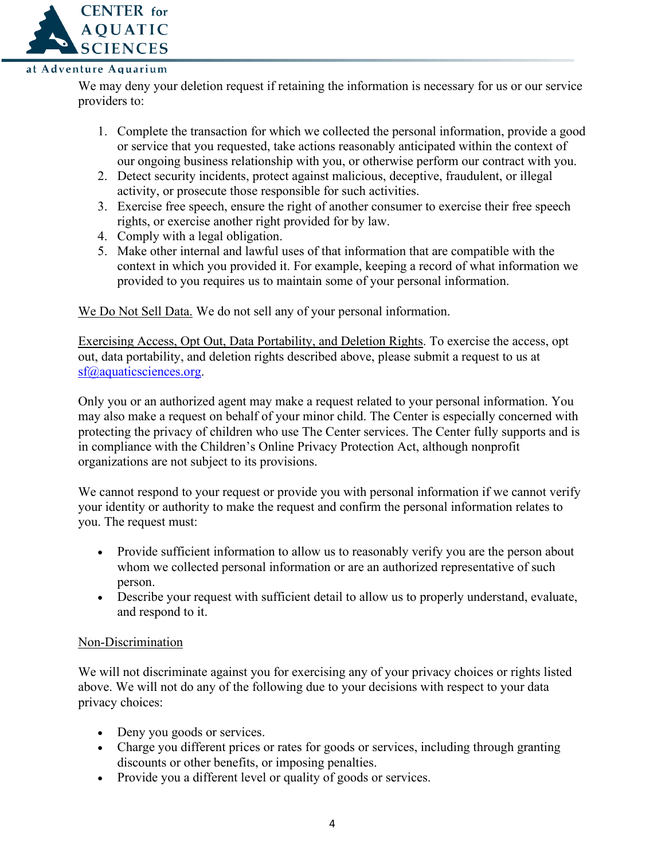

We may deny your deletion request if retaining the information is necessary for us or our service providers to:

- 1. Complete the transaction for which we collected the personal information, provide a good or service that you requested, take actions reasonably anticipated within the context of our ongoing business relationship with you, or otherwise perform our contract with you.
- 2. Detect security incidents, protect against malicious, deceptive, fraudulent, or illegal activity, or prosecute those responsible for such activities.
- 3. Exercise free speech, ensure the right of another consumer to exercise their free speech rights, or exercise another right provided for by law.
- 4. Comply with a legal obligation.
- 5. Make other internal and lawful uses of that information that are compatible with the context in which you provided it. For example, keeping a record of what information we provided to you requires us to maintain some of your personal information.

We Do Not Sell Data. We do not sell any of your personal information.

Exercising Access, Opt Out, Data Portability, and Deletion Rights. To exercise the access, opt out, data portability, and deletion rights described above, please submit a request to us at [sf@aquaticsciences.org.](mailto:sf@aquaticsciences.org)

Only you or an authorized agent may make a request related to your personal information. You may also make a request on behalf of your minor child. The Center is especially concerned with protecting the privacy of children who use The Center services. The Center fully supports and is in compliance with the Children's Online Privacy Protection Act, although nonprofit organizations are not subject to its provisions.

We cannot respond to your request or provide you with personal information if we cannot verify your identity or authority to make the request and confirm the personal information relates to you. The request must:

- Provide sufficient information to allow us to reasonably verify you are the person about whom we collected personal information or are an authorized representative of such person.
- Describe your request with sufficient detail to allow us to properly understand, evaluate, and respond to it.

# Non-Discrimination

We will not discriminate against you for exercising any of your privacy choices or rights listed above. We will not do any of the following due to your decisions with respect to your data privacy choices:

- Deny you goods or services.
- Charge you different prices or rates for goods or services, including through granting discounts or other benefits, or imposing penalties.
- Provide you a different level or quality of goods or services.